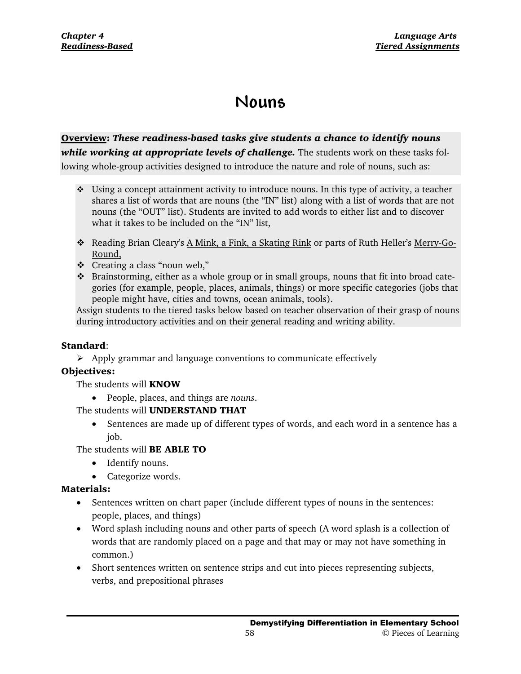# **Nouns**

## **Overview:** *These readiness-based tasks give students a chance to identify nouns while working at appropriate levels of challenge.* The students work on these tasks following whole-group activities designed to introduce the nature and role of nouns, such as:

- Using a concept attainment activity to introduce nouns. In this type of activity, a teacher shares a list of words that are nouns (the "IN" list) along with a list of words that are not nouns (the "OUT" list). Students are invited to add words to either list and to discover what it takes to be included on the "IN" list,
- \* Reading Brian Cleary's A Mink, a Fink, a Skating Rink or parts of Ruth Heller's Merry-Go-Round,
- Creating a class "noun web,"
- Brainstorming, either as a whole group or in small groups, nouns that fit into broad categories (for example, people, places, animals, things) or more specific categories (jobs that people might have, cities and towns, ocean animals, tools).

Assign students to the tiered tasks below based on teacher observation of their grasp of nouns during introductory activities and on their general reading and writing ability.

## **Standard**:

 $\triangleright$  Apply grammar and language conventions to communicate effectively

## **Objectives:**

The students will **KNOW**

• People, places, and things are *nouns*.

The students will **UNDERSTAND THAT**

• Sentences are made up of different types of words, and each word in a sentence has a job.

The students will **BE ABLE TO**

- Identify nouns.
- Categorize words.

## **Materials:**

- Sentences written on chart paper (include different types of nouns in the sentences: people, places, and things)
- Word splash including nouns and other parts of speech (A word splash is a collection of words that are randomly placed on a page and that may or may not have something in common.)
- Short sentences written on sentence strips and cut into pieces representing subjects, verbs, and prepositional phrases